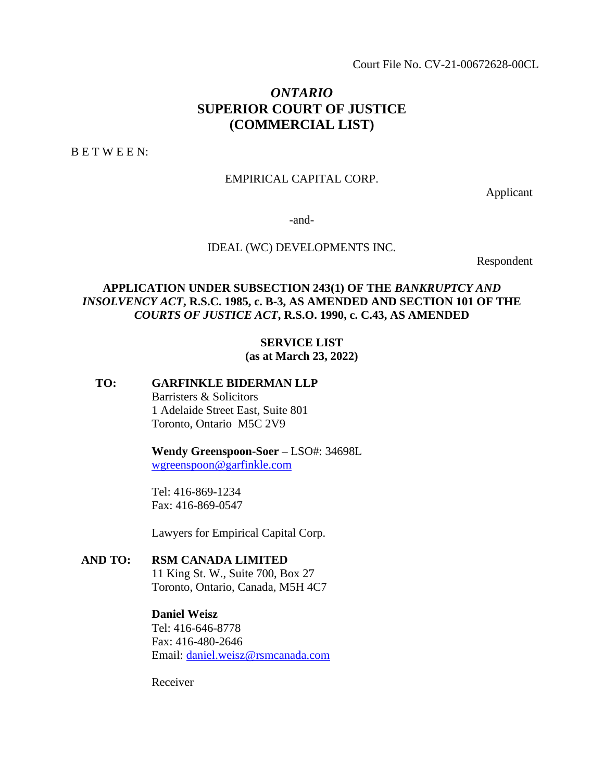Court File No. CV-21-00672628-00CL

## *ONTARIO* **SUPERIOR COURT OF JUSTICE (COMMERCIAL LIST)**

B E T W E E N:

## EMPIRICAL CAPITAL CORP.

Applicant

-and-

### IDEAL (WC) DEVELOPMENTS INC.

Respondent

## **APPLICATION UNDER SUBSECTION 243(1) OF THE** *BANKRUPTCY AND INSOLVENCY ACT***, R.S.C. 1985, c. B-3, AS AMENDED AND SECTION 101 OF THE**  *COURTS OF JUSTICE ACT***, R.S.O. 1990, c. C.43, AS AMENDED**

### **SERVICE LIST**

**(as at March 23, 2022)**

**TO: GARFINKLE BIDERMAN LLP** Barristers & Solicitors 1 Adelaide Street East, Suite 801 Toronto, Ontario M5C 2V9

> **Wendy Greenspoon-Soer –** LSO#: 34698L [wgreenspoon@garfinkle.com](mailto:wgreenspoon@garfinkle.com)

Tel: 416-869-1234 Fax: 416-869-0547

Lawyers for Empirical Capital Corp.

**AND TO: RSM CANADA LIMITED** 11 King St. W., Suite 700, Box 27 Toronto, Ontario, Canada, M5H 4C7

> **Daniel Weisz** Tel: 416-646-8778 Fax: 416-480-2646 Email: [daniel.weisz@rsmcanada.com](mailto:daniel.weisz@rsmcanada.com)

Receiver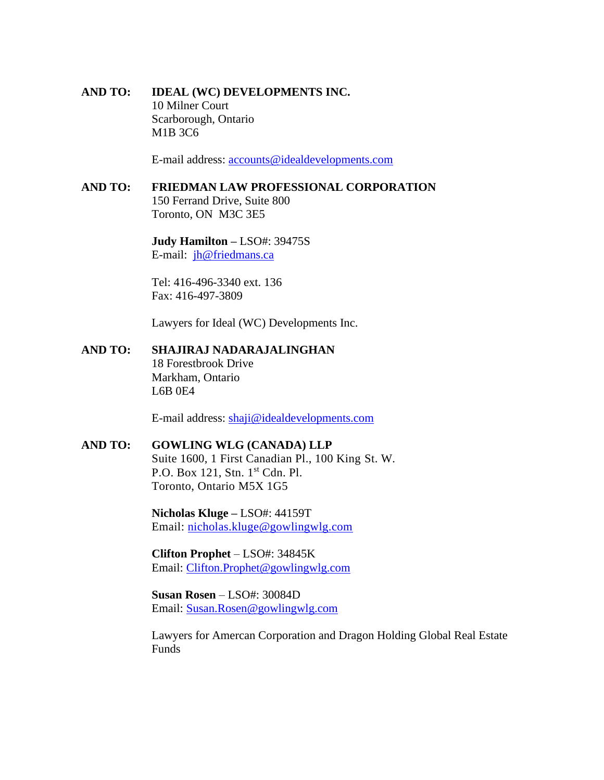### **AND TO: IDEAL (WC) DEVELOPMENTS INC.** 10 Milner Court Scarborough, Ontario M1B 3C6

E-mail address: [accounts@idealdevelopments.com](mailto:accounts@idealdevelopments.com)

# **AND TO: FRIEDMAN LAW PROFESSIONAL CORPORATION**

150 Ferrand Drive, Suite 800 Toronto, ON M3C 3E5

**Judy Hamilton –** LSO#: 39475S E-mail: [jh@friedmans.ca](mailto:jh@friedmans.ca)

Tel: 416-496-3340 ext. 136 Fax: 416-497-3809

Lawyers for Ideal (WC) Developments Inc.

### **AND TO: SHAJIRAJ NADARAJALINGHAN**

18 Forestbrook Drive Markham, Ontario L6B 0E4

E-mail address: [shaji@idealdevelopments.com](mailto:shaji@idealdevelopments.com)

## **AND TO: GOWLING WLG (CANADA) LLP**

Suite 1600, 1 First Canadian Pl., 100 King St. W. P.O. Box 121, Stn. 1st Cdn. Pl. Toronto, Ontario M5X 1G5

**Nicholas Kluge –** LSO#: 44159T Email: [nicholas.kluge@gowlingwlg.com](mailto:nicholas.kluge@gowlingwlg.com)

**Clifton Prophet** – LSO#: 34845K Email: [Clifton.Prophet@gowlingwlg.com](mailto:Clifton.Prophet@gowlingwlg.com)

**Susan Rosen** – LSO#: 30084D Email: [Susan.Rosen@gowlingwlg.com](mailto:Susan.Rosen@gowlingwlg.com)

Lawyers for Amercan Corporation and Dragon Holding Global Real Estate Funds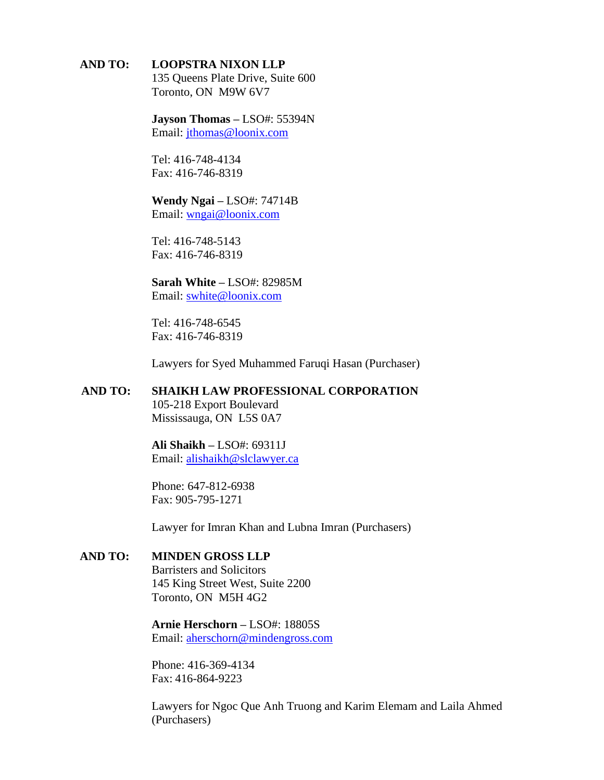## **AND TO: LOOPSTRA NIXON LLP**

135 Queens Plate Drive, Suite 600 Toronto, ON M9W 6V7

**Jayson Thomas –** LSO#: 55394N Email: [jthomas@loonix.com](mailto:jthomas@loonix.com)

Tel: 416-748-4134 Fax: 416-746-8319

## **Wendy Ngai –** LSO#: 74714B

Email: [wngai@loonix.com](mailto:wngai@loonix.com)

Tel: 416-748-5143 Fax: 416-746-8319

## **Sarah White –** LSO#: 82985M

Email: [swhite@loonix.com](mailto:swhite@loonix.com)

Tel: 416-748-6545 Fax: 416-746-8319

Lawyers for Syed Muhammed Faruqi Hasan (Purchaser)

## **AND TO: SHAIKH LAW PROFESSIONAL CORPORATION**

105-218 Export Boulevard Mississauga, ON L5S 0A7

**Ali Shaikh –** LSO#: 69311J Email: [alishaikh@slclawyer.ca](mailto:alishaikh@slclawyer.ca)

Phone: 647-812-6938 Fax: 905-795-1271

Lawyer for Imran Khan and Lubna Imran (Purchasers)

## **AND TO: MINDEN GROSS LLP**

Barristers and Solicitors 145 King Street West, Suite 2200 Toronto, ON M5H 4G2

**Arnie Herschorn –** LSO#: 18805S Email: [aherschorn@mindengross.com](mailto:aherschorn@mindengross.com)

Phone: 416-369-4134 Fax: 416-864-9223

Lawyers for Ngoc Que Anh Truong and Karim Elemam and Laila Ahmed (Purchasers)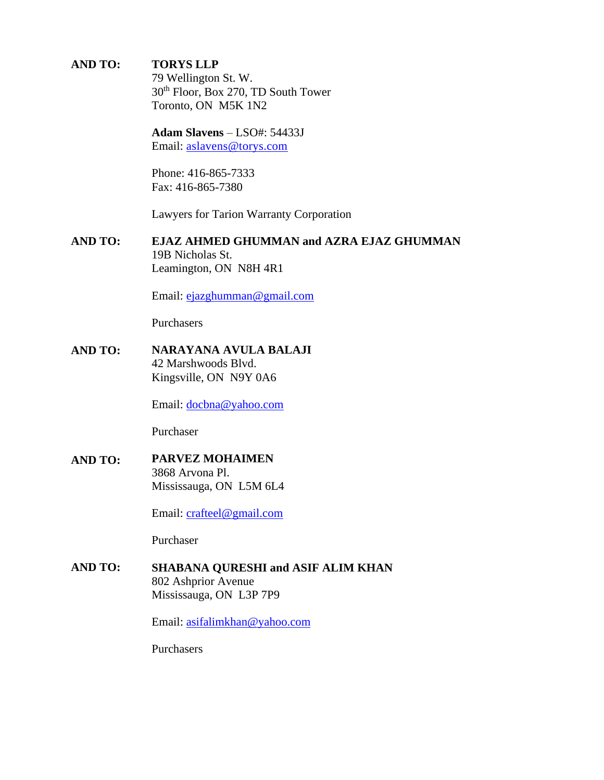#### **AND TO: TORYS LLP**

79 Wellington St. W. 30th Floor, Box 270, TD South Tower Toronto, ON M5K 1N2

**Adam Slavens** – LSO#: 54433J Email: [aslavens@torys.com](mailto:aslavens@torys.com)

Phone: 416-865-7333 Fax: 416-865-7380

Lawyers for Tarion Warranty Corporation

**AND TO: EJAZ AHMED GHUMMAN and AZRA EJAZ GHUMMAN** 19B Nicholas St. Leamington, ON N8H 4R1

Email: [ejazghumman@gmail.com](mailto:ejazghumman@gmail.com)

**Purchasers** 

**AND TO: NARAYANA AVULA BALAJI**  42 Marshwoods Blvd. Kingsville, ON N9Y 0A6

Email: [docbna@yahoo.com](mailto:docbna@yahoo.com)

Purchaser

**AND TO: PARVEZ MOHAIMEN** 3868 Arvona Pl. Mississauga, ON L5M 6L4

Email: [crafteel@gmail.com](mailto:crafteel@gmail.com)

Purchaser

**AND TO: SHABANA QURESHI and ASIF ALIM KHAN** 802 Ashprior Avenue Mississauga, ON L3P 7P9

Email: [asifalimkhan@yahoo.com](mailto:asifalimkhan@yahoo.com)

Purchasers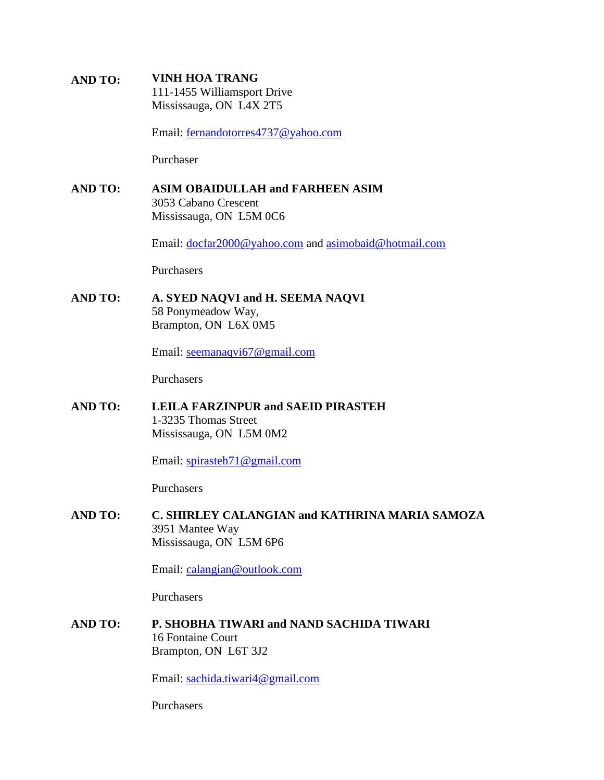#### **AND TO: VINH HOA TRANG**  111-1455 Williamsport Drive Mississauga, ON L4X 2T5

Email: [fernandotorres4737@yahoo.com](mailto:fernandotorres4737@yahoo.com)

Purchaser

#### **AND TO: ASIM OBAIDULLAH and FARHEEN ASIM** 3053 Cabano Crescent Mississauga, ON L5M 0C6

Email: [docfar2000@yahoo.com](mailto:docfar2000@yahoo.com) and [asimobaid@hotmail.com](mailto:asimobaid@hotmail.com)

**Purchasers** 

#### **AND TO: A. SYED NAQVI and H. SEEMA NAQVI**  58 Ponymeadow Way, Brampton, ON L6X 0M5

Email: [seemanaqvi67@gmail.com](mailto:seemanaqvi67@gmail.com)

Purchasers

**AND TO: LEILA FARZINPUR and SAEID PIRASTEH** 1-3235 Thomas Street Mississauga, ON L5M 0M2

Email: [spirasteh71@gmail.com](mailto:spirasteh71@gmail.com)

Purchasers

**AND TO: C. SHIRLEY CALANGIAN and KATHRINA MARIA SAMOZA** 3951 Mantee Way Mississauga, ON L5M 6P6

Email: [calangian@outlook.com](mailto:calangian@outlook.com)

**Purchasers** 

**AND TO: P. SHOBHA TIWARI and NAND SACHIDA TIWARI** 16 Fontaine Court Brampton, ON L6T 3J2

Email: [sachida.tiwari4@gmail.com](mailto:sachida.tiwari4@gmail.com)

Purchasers